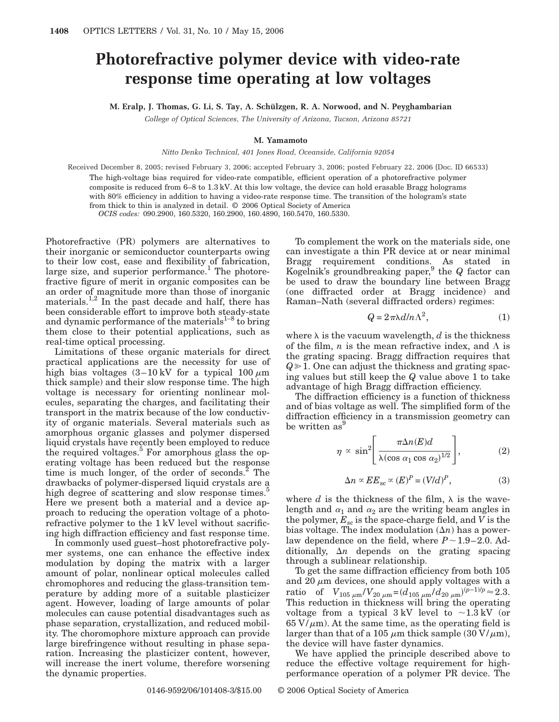## **Photorefractive polymer device with video-rate response time operating at low voltages**

**M. Eralp, J. Thomas, G. Li, S. Tay, A. Schülzgen, R. A. Norwood, and N. Peyghambarian**

*College of Optical Sciences, The University of Arizona, Tucson, Arizona 85721*

## **M. Yamamoto**

*Nitto Denko Technical, 401 Jones Road, Oceanside, California 92054*

Received December 8, 2005; revised February 3, 2006; accepted February 3, 2006; posted February 22, 2006 (Doc. ID 66533) The high-voltage bias required for video-rate compatible, efficient operation of a photorefractive polymer composite is reduced from 6–8 to 1.3 kV. At this low voltage, the device can hold erasable Bragg holograms with 80% efficiency in addition to having a video-rate response time. The transition of the hologram's state from thick to thin is analyzed in detail. © 2006 Optical Society of America *OCIS codes:* 090.2900, 160.5320, 160.2900, 160.4890, 160.5470, 160.5330.

Photorefractive (PR) polymers are alternatives to their inorganic or semiconductor counterparts owing to their low cost, ease and flexibility of fabrication, large size, and superior performance.<sup>1</sup> The photorefractive figure of merit in organic composites can be an order of magnitude more than those of inorganic materials. $1,2$  In the past decade and half, there has been considerable effort to improve both steady-state and dynamic performance of the materials<sup>1-8</sup> to bring them close to their potential applications, such as real-time optical processing.

Limitations of these organic materials for direct practical applications are the necessity for use of high bias voltages  $(3-10 \text{ kV}$  for a typical  $100 \mu \text{m}$ thick sample) and their slow response time. The high voltage is necessary for orienting nonlinear molecules, separating the charges, and facilitating their transport in the matrix because of the low conductivity of organic materials. Several materials such as amorphous organic glasses and polymer dispersed liquid crystals have recently been employed to reduce the required voltages. $5$  For amorphous glass the operating voltage has been reduced but the response time is much longer, of the order of seconds. $^{2}$  The drawbacks of polymer-dispersed liquid crystals are a high degree of scattering and slow response times.<sup>5</sup> Here we present both a material and a device approach to reducing the operation voltage of a photorefractive polymer to the 1 kV level without sacrificing high diffraction efficiency and fast response time.

In commonly used guest–host photorefractive polymer systems, one can enhance the effective index modulation by doping the matrix with a larger amount of polar, nonlinear optical molecules called chromophores and reducing the glass-transition temperature by adding more of a suitable plasticizer agent. However, loading of large amounts of polar molecules can cause potential disadvantages such as phase separation, crystallization, and reduced mobility. The choromophore mixture approach can provide large birefringence without resulting in phase separation. Increasing the plasticizer content, however, will increase the inert volume, therefore worsening the dynamic properties.

To complement the work on the materials side, one can investigate a thin PR device at or near minimal Bragg requirement conditions. As stated in Kogelnik's groundbreaking paper,9 the *Q* factor can be used to draw the boundary line between Bragg (one diffracted order at Bragg incidence) and Raman–Nath (several diffracted orders) regimes:

$$
Q = 2\pi\lambda d/n\Lambda^2,\tag{1}
$$

where  $\lambda$  is the vacuum wavelength, *d* is the thickness of the film,  $n$  is the mean refractive index, and  $\Lambda$  is the grating spacing. Bragg diffraction requires that  $Q\geq 1$ . One can adjust the thickness and grating spacing values but still keep the *Q* value above 1 to take advantage of high Bragg diffraction efficiency.

The diffraction efficiency is a function of thickness and of bias voltage as well. The simplified form of the diffraction efficiency in a transmission geometry can be written as

$$
\eta \propto \sin^2 \left[ \frac{\pi \Delta n(E) d}{\lambda (\cos \alpha_1 \cos \alpha_2)^{1/2}} \right],
$$
 (2)

$$
\Delta n \propto E E_{\rm sc} \propto (E)^P = (V/d)^P, \tag{3}
$$

where  $d$  is the thickness of the film,  $\lambda$  is the wavelength and  $\alpha_1$  and  $\alpha_2$  are the writing beam angles in the polymer,  $E_{\rm sc}$  is the space-charge field, and  $\overline{V}$  is the bias voltage. The index modulation  $(\Delta n)$  has a powerlaw dependence on the field, where  $P \sim 1.9-2.0$ . Additionally,  $\Delta n$  depends on the grating spacing through a sublinear relationship.

To get the same diffraction efficiency from both 105 and 20  $\mu$ m devices, one should apply voltages with a ratio of  $V_{105 \mu \text{m}} / V_{20 \mu \text{m}} = (d_{105 \mu \text{m}} / d_{20 \mu \text{m}})^{(p-1)/p} \approx 2.3.$ This reduction in thickness will bring the operating voltage from a typical  $3 \text{ kV}$  level to  $\sim 1.3 \text{ kV}$  (or  $65 \text{ V}/\mu$ m). At the same time, as the operating field is larger than that of a 105  $\mu$ m thick sample (30 V/ $\mu$ m), the device will have faster dynamics.

We have applied the principle described above to reduce the effective voltage requirement for highperformance operation of a polymer PR device. The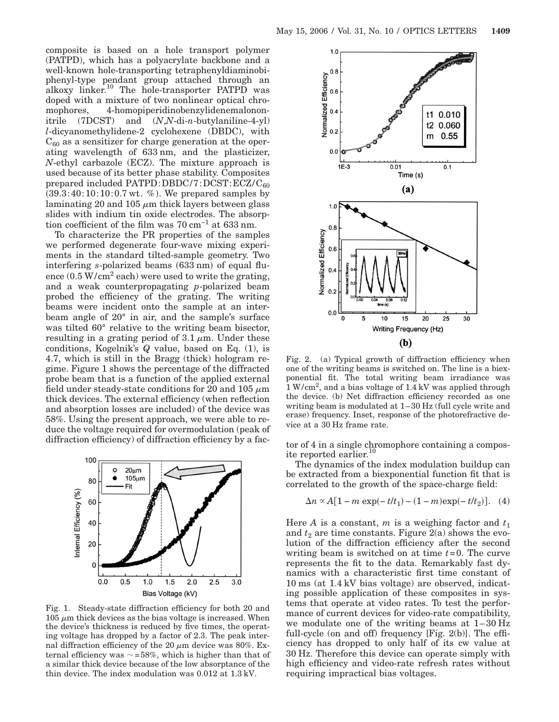composite is based on a hole transport polymer (PATPD), which has a polyacrylate backbone and a well-known hole-transporting tetraphenyldiaminobiphenyl-type pendant group attached through an alkoxy linker.<sup>10</sup> The hole-transporter PATPD was doped with a mixture of two nonlinear optical chromophores, 4-homopiperidinobenzylidenemalononitrile (7DCST) and (*N*,*N*-di-*n*-butylaniline-4-yl) *l*-dicyanomethylidene-2 cyclohexene (DBDC), with  $C_{60}$  as a sensitizer for charge generation at the operating wavelength of 633 nm, and the plasticizer, *N*-ethyl carbazole (ECZ). The mixture approach is used because of its better phase stability. Composites prepared included  $PATPD:DBDC/7:DCST:ECZ/C_{60}$  $(39.3:40:10:10:0.7 \text{ wt. } %)$ . We prepared samples by laminating 20 and 105  $\mu$ m thick layers between glass slides with indium tin oxide electrodes. The absorption coefficient of the film was 70 cm−1 at 633 nm.

To characterize the PR properties of the samples we performed degenerate four-wave mixing experiments in the standard tilted-sample geometry. Two interfering s-polarized beams (633 nm) of equal fluence  $(0.5 \text{ W/cm}^2 \text{ each})$  were used to write the grating, and a weak counterpropagating *p*-polarized beam probed the efficiency of the grating. The writing beams were incident onto the sample at an interbeam angle of 20° in air, and the sample's surface was tilted 60° relative to the writing beam bisector, resulting in a grating period of  $3.1 \mu m$ . Under these conditions, Kogelnik's *Q* value, based on Eq. (1), is 4.7, which is still in the Bragg (thick) hologram regime. Figure 1 shows the percentage of the diffracted probe beam that is a function of the applied external field under steady-state conditions for 20 and 105  $\mu$ m thick devices. The external efficiency (when reflection and absorption losses are included) of the device was 58%. Using the present approach, we were able to reduce the voltage required for overmodulation (peak of diffraction efficiency) of diffraction efficiency by a fac-<br>tor of 4 in a single chromophore containing a compos-



Fig. 1. Steady-state diffraction efficiency for both 20 and  $105 \mu m$  thick devices as the bias voltage is increased. When the device's thickness is reduced by five times, the operating voltage has dropped by a factor of 2.3. The peak internal diffraction efficiency of the 20  $\mu$ m device was 80%. External efficiency was  $\sim$  =58%, which is higher than that of a similar thick device because of the low absorptance of the thin device. The index modulation was 0.012 at 1.3 kV.



Fig. 2. (a) Typical growth of diffraction efficiency when one of the writing beams is switched on. The line is a biexponential fit. The total writing beam irradiance was  $1 \,\mathrm{W/cm^2}$ , and a bias voltage of  $1.4 \,\mathrm{kV}$  was applied through the device. (b) Net diffraction efficiency recorded as one writing beam is modulated at 1–30 Hz (full cycle write and erase) frequency. Inset, response of the photorefractive device at a 30 Hz frame rate.

ite reported earlier.<sup>10</sup>

The dynamics of the index modulation buildup can be extracted from a biexponential function fit that is correlated to the growth of the space-charge field:

$$
\Delta n \propto A[1 - m \exp(-t/t_1) - (1 - m) \exp(-t/t_2)]. \quad (4)
$$

Here *A* is a constant, *m* is a weighing factor and  $t_1$ and  $t_2$  are time constants. Figure 2(a) shows the evolution of the diffraction efficiency after the second writing beam is switched on at time *t*=0. The curve represents the fit to the data. Remarkably fast dynamics with a characteristic first time constant of 10 ms (at 1.4 kV bias voltage) are observed, indicating possible application of these composites in systems that operate at video rates. To test the performance of current devices for video-rate compatibility, we modulate one of the writing beams at 1–30 Hz full-cycle (on and off) frequency [Fig. 2(b)]. The efficiency has dropped to only half of its cw value at 30 Hz. Therefore this device can operate simply with high efficiency and video-rate refresh rates without requiring impractical bias voltages.